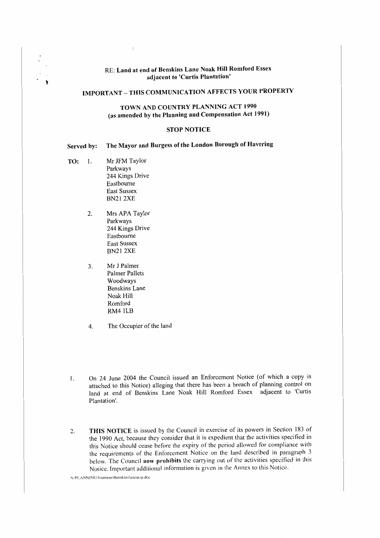# RE: **Land at end of Benskins Lane Noak Hill Romford Essex adjacent to 'Curtis Plantation'**

# **IMPORTANT** - **THIS COMMUNICA TJON AFFECTS YOUR PROPERTY**

# **TOWN AND COUNTRY PLANNING ACT 1990 (as amended by the Planning and Compensation Act 1991)**

### **STOP NOTICE**

**Served by: The Mayor and Burgess of the London Borough of Havering** 

**TO:** 1. Mr JFM Taylor Parkways 244 Kings Drive Eastbourne East Sussex BN2l 2XE

 $\overline{1}$ 

**t** 

- 2. Mrs APA Taylor Parkways 244 Kings Drive Eastbourne East Sussex **BN21 2XE**
- 3. Mr J Palmer Palmer Pallets Woodways Benskins Lane Noak Hill Romford RM41LB
- 4. The Occupier of the land
- 1. On 24 June 2004 the Council issued an Enforcement Notice (of which a copy is attached to this Notice) alleging that there has been a breach of planning control on land at end of Benskins Lane Noak Hill Romford Essex adjacent to 'Curtis Plantation'.
- 2. **THIS NOTICE** is issued by the Council in exercise of its powers in Section 183 of the 1990 Act, because they consider that it is expedient that the activities specified in this Notice should cease before the expiry of the period allowed for compliance with the requirements of the Enforcement Notice on the land described in paragraph 3 below. The Council **now prohibits** the carrying out of the activities specified in this Notice. Important additional infonnation is given in the Annex to this Notice.

S:\PLANNING\Ioannou\Benskinslanestop.doc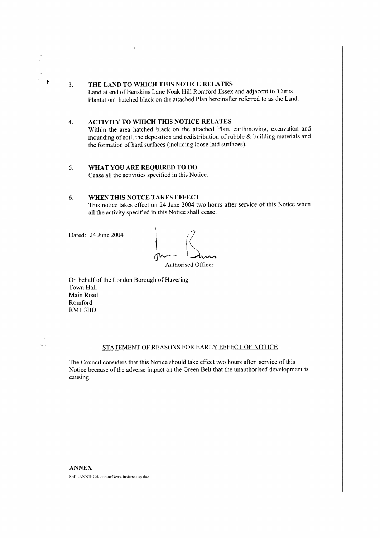# 3. THE LAND TO WHICH THIS NOTICE RELATES

Land at end of Benskins Lane Noak Hill Romford Essex and adjacent to 'Curtis Plantation' hatched black on the attached Plan hereinafter referred to as the Land.

# 4. **ACTIVITY TO WHICH THIS NOTICE RELATES**

Within the area hatched black on the attached **Plan,** earthmoving, excavation and mounding of soil, the deposition and redistribution of rubble & building materials and the formation of hard surfaces (including loose laid surfaces).

#### 5. **WHAT YOU ARE REQUIRED TO DO**

Cease all the activities specified in this Notice.

### 6. **WHEN THIS NOTCE TAKES EFFECT**

This notice takes effect on 24 June 2004 two hours after service of this Notice when all the activity specified in this Notice shall cease.

Dated: 24 June 2004

k.  $\mathbf{v}_{\mathbf{A}}$  .

Authorised Officer

On behalf of the London Borough of Havering Town Hall Main Road Romford RMI 3BD

## STATEMENT OF REASONS FOR EARLY EFFECT OF NOTICE

The Council considers that this Notice should take effect two hours after service of this Notice because of the adverse impact on the Green Belt that the unauthorised development is causing.

**ANNEX** S:\PLANNING\loannou\Benskinslanestop.doc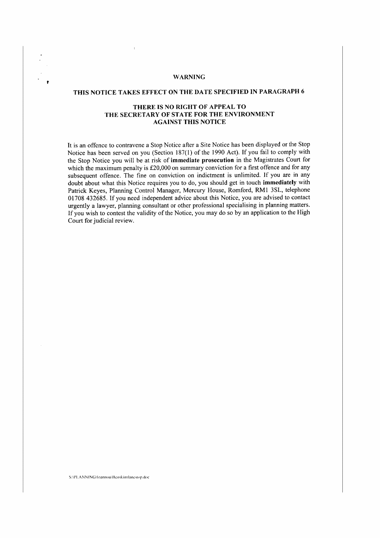#### **\VARNING**

#### **THIS NOTICE TAKES EFFECT ON THE DATE SPECIFIED IN PARAGRAPH 6**

# **THERE IS NO RIGHT OF APPEAL TO THE SECRETARY OF STATE FOR THE ENVIRONMENT AGAINST THIS NOTICE**

It is an offence to contravene a Stop Notice after a Site Notice has been displayed or the Stop Notice has been served on you (Section 187(1) of the 1990 Act). If you fail to comply with the Stop Notice you will be at risk of **immediate prosecution** in the Magistrates Court for which the maximum penalty is £20,000 on summary conviction for a first offence and for any subsequent offence. The fine on conviction on indictment is unlimited. If you are in any doubt about what this Notice requires you to do, you should get in touch **immediately** with Patrick Keyes, Planning Control Manager, Mercury House, Romford, RMI 3SL, telephone 01708 432685. If you need independent advice about this Notice, you are advised to contact urgently a lawyer, planning consultant or other professional specialising in planning matters. If you wish to contest the validity of the Notice, you may do so by an application to the High Court for judicial review.

'